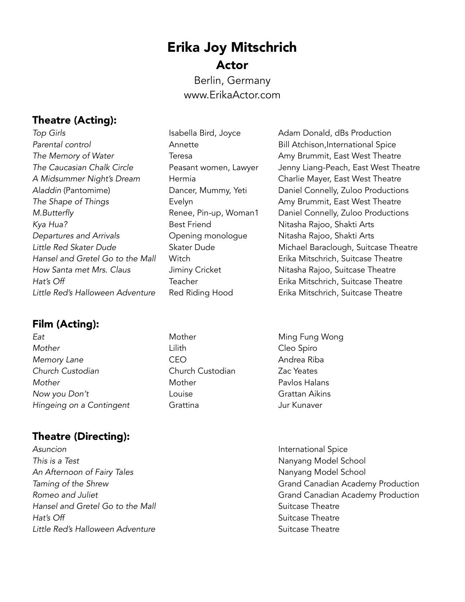# Erika Joy Mitschrich Actor

Berlin, Germany www.ErikaActor.com

# Theatre (Acting):

**Top Girls Isabella Bird, Joyce** Adam Donald, dBs Production Parental control **Annette Annette Bill Atchison,International Spice** *The Memory of Water* **Teresa Amy Brummit, East West Theatre** *The Memory of Water A Midsummer Night's Dream* Hermia Charlie Mayer, East West Theatre **The Shape of Things The Shape of Things** Evelyn **Example 2** Amy Brummit, East West Theatre *Kya Hua?* Best Friend Nitasha Rajoo, Shakti Arts *Departures and Arrivals* Opening monologue Nitasha Rajoo, Shakti Arts Hansel and Gretel Go to the Mall **Witch Channel Control Control** Erika Mitschrich, Suitcase Theatre *How Santa met Mrs. Claus* **Jiminy Cricket** Nitasha Rajoo, Suitcase Theatre Hat's Off **Teacher Teacher Erika Mitschrich, Suitcase Theatre** *Little Red's Halloween Adventure* Red Riding Hood Erika Mitschrich, Suitcase Theatre

### Film (Acting):

**Eat Eat Mother** Mother **Ming Fung Wong** *Mother* Lilith Cleo Spiro **Memory Lane**  CEO CONTROLLER **Andrea Riba** *Church Custodian* Church Custodian Zac Yeates *Mother* Mother Pavlos Halans *Now you Don't* Louise Grattan Aikins *Hingeing on a Contingent* **Grattina** Grattina Jur Kunaver

# Theatre (Directing):

*Asuncion* International Spice *This is a Test* Nanyang Model School An Afternoon of Fairy Tales **Nanyang Model School** *Hansel and Gretel Go to the Mall* Suitcase Theatre *Hat's Off* **Suitcase Theatre Suitcase Theatre Suitcase Theatre Little Red's Halloween Adventure Suitcase Theatre Suitcase Theatre Suitcase Theatre** 

- 
- 

*The Caucasian Chalk Circle* Peasant women, Lawyer Jenny Liang-Peach, East West Theatre Aladdin (Pantomime) **Dancer, Mummy, Yeti** Daniel Connelly, Zuloo Productions *M.Butterfly* **Renee, Pin-up, Woman1** Daniel Connelly, Zuloo Productions *Little Red Skater Dude* Skater Dude Michael Baraclough, Suitcase Theatre

- 
- **Taming of the Shrew Canadian Academy Production** *Romeo and Juliet* Grand Canadian Academy Production